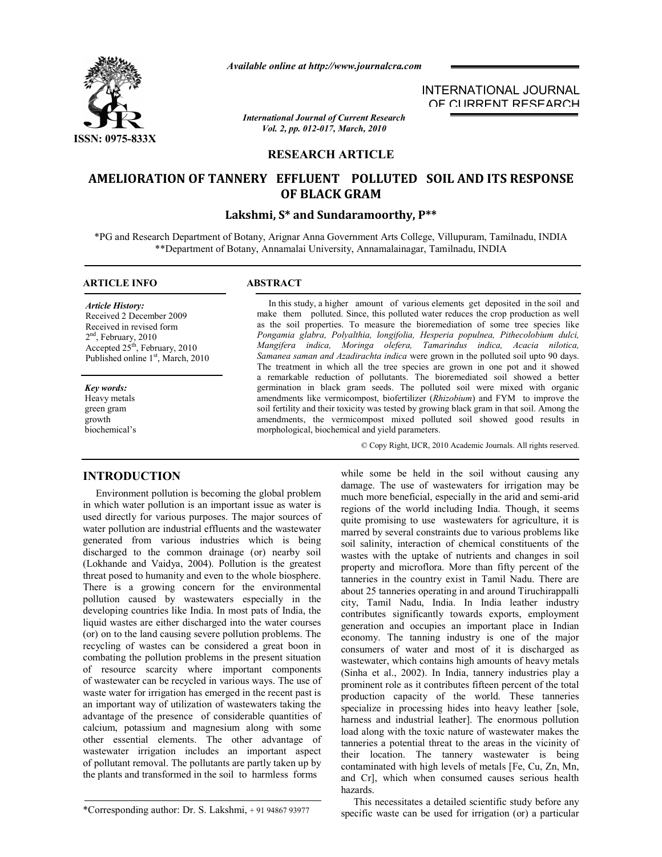

*Available online at http://www.journalcra.com*

*International Journal of Current Research Vol. 2, pp. 012-017, March, 2010*

# INTERNATIONAL JOURNAL OF CURRENT RESEARCH

# **RESEARCH ARTICLE**

# **AMELIORATION OF TANNERY EFFLUENT POLLUTED SOIL AND ITS RESPONSE OF BLACK GRAM**

# **Lakshmi, S\* and Sundaramoorthy, P\*\***

\*PG and Research Department of Botany, Arignar Anna Government Arts College, Villupuram, Tamilnadu, INDIA \*\*Department of Botany, Annamalai University, Annamalainagar, Tamilnadu, INDIA

# **ARTICLE INFO ABSTRACT**

### *Article History:*

Received 2 December 2009 Received in revised form 2<sup>nd</sup>, February, 2010 Accepted  $25<sup>th</sup>$ , February, 2010 Published online 1<sup>st</sup>, March, 2010

#### *Key words:*

Heavy metals green gram growth biochemical's

**INTRODUCTION**

 In this study, a higher amount of various elements get deposited in the soil and make them polluted. Since, this polluted water reduces the crop production as well as the soil properties. To measure the bioremediation of some tree species like *Pongamia glabra, Polyalthia, longifolia, Hesperia populnea, Pithecolobium dulci, Mangifera indica, Moringa olefera, Tamarindus indica, Acacia nilotica, Samanea saman and Azadirachta indica* were grown in the polluted soil upto 90 days. The treatment in which all the tree species are grown in one pot and it showed a remarkable reduction of pollutants. The bioremediated soil showed a better germination in black gram seeds. The polluted soil were mixed with organic amendments like vermicompost, biofertilizer (*Rhizobium*) and FYM to improve the soil fertility and their toxicity was tested by growing black gram in that soil. Among the amendments, the vermicompost mixed polluted soil showed good results in morphological, biochemical and yield parameters.

© Copy Right, IJCR, 2010 Academic Journals. All rights reserved.

 Environment pollution is becoming the global problem in which water pollution is an important issue as water is used directly for various purposes. The major sources of water pollution are industrial effluents and the wastewater generated from various industries which is being discharged to the common drainage (or) nearby soil (Lokhande and Vaidya, 2004). Pollution is the greatest threat posed to humanity and even to the whole biosphere. There is a growing concern for the environmental pollution caused by wastewaters especially in the developing countries like India. In most pats of India, the liquid wastes are either discharged into the water courses (or) on to the land causing severe pollution problems. The recycling of wastes can be considered a great boon in combating the pollution problems in the present situation of resource scarcity where important components of wastewater can be recycled in various ways. The use of waste water for irrigation has emerged in the recent past is an important way of utilization of wastewaters taking the advantage of the presence of considerable quantities of calcium, potassium and magnesium along with some other essential elements. The other advantage of wastewater irrigation includes an important aspect of pollutant removal. The pollutants are partly taken up by the plants and transformed in the soil to harmless forms

\*Corresponding author: Dr. S. Lakshmi, + 91 94867 93977

while some be held in the soil without causing any damage. The use of wastewaters for irrigation may be much more beneficial, especially in the arid and semi-arid regions of the world including India. Though, it seems quite promising to use wastewaters for agriculture, it is marred by several constraints due to various problems like soil salinity, interaction of chemical constituents of the wastes with the uptake of nutrients and changes in soil property and microflora. More than fifty percent of the tanneries in the country exist in Tamil Nadu. There are about 25 tanneries operating in and around Tiruchirappalli city, Tamil Nadu, India. In India leather industry contributes significantly towards exports, employment generation and occupies an important place in Indian economy. The tanning industry is one of the major consumers of water and most of it is discharged as wastewater, which contains high amounts of heavy metals (Sinha et al., 2002). In India, tannery industries play a prominent role as it contributes fifteen percent of the total production capacity of the world. These tanneries specialize in processing hides into heavy leather [sole, harness and industrial leather]. The enormous pollution load along with the toxic nature of wastewater makes the tanneries a potential threat to the areas in the vicinity of their location. The tannery wastewater is being contaminated with high levels of metals [Fe, Cu, Zn, Mn, and Cr], which when consumed causes serious health hazards.

 This necessitates a detailed scientific study before any specific waste can be used for irrigation (or) a particular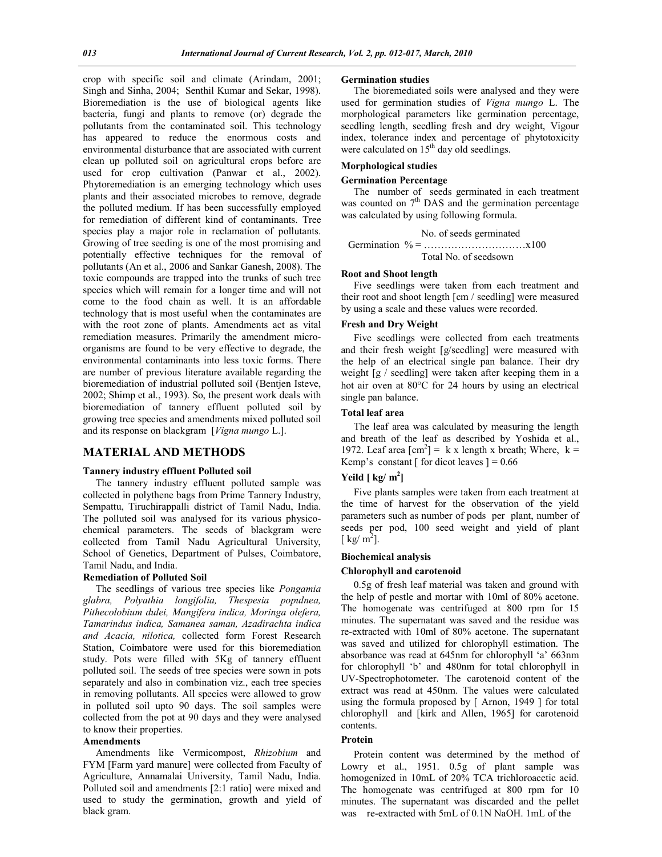crop with specific soil and climate (Arindam, 2001; Singh and Sinha, 2004; Senthil Kumar and Sekar, 1998). Bioremediation is the use of biological agents like bacteria, fungi and plants to remove (or) degrade the pollutants from the contaminated soil. This technology has appeared to reduce the enormous costs and environmental disturbance that are associated with current clean up polluted soil on agricultural crops before are used for crop cultivation (Panwar et al., 2002). Phytoremediation is an emerging technology which uses plants and their associated microbes to remove, degrade the polluted medium. If has been successfully employed for remediation of different kind of contaminants. Tree species play a major role in reclamation of pollutants. Growing of tree seeding is one of the most promising and potentially effective techniques for the removal of pollutants (An et al., 2006 and Sankar Ganesh, 2008). The toxic compounds are trapped into the trunks of such tree species which will remain for a longer time and will not come to the food chain as well. It is an affordable technology that is most useful when the contaminates are with the root zone of plants. Amendments act as vital remediation measures. Primarily the amendment microorganisms are found to be very effective to degrade, the environmental contaminants into less toxic forms. There are number of previous literature available regarding the bioremediation of industrial polluted soil (Bentjen Isteve, 2002; Shimp et al., 1993). So, the present work deals with bioremediation of tannery effluent polluted soil by growing tree species and amendments mixed polluted soil and its response on blackgram [*Vigna mungo* L.].

# **MATERIAL AND METHODS**

#### **Tannery industry effluent Polluted soil**

 The tannery industry effluent polluted sample was collected in polythene bags from Prime Tannery Industry, Sempattu, Tiruchirappalli district of Tamil Nadu, India. The polluted soil was analysed for its various physicochemical parameters. The seeds of blackgram were collected from Tamil Nadu Agricultural University, School of Genetics, Department of Pulses, Coimbatore, Tamil Nadu, and India.

#### **Remediation of Polluted Soil**

 The seedlings of various tree species like *Pongamia glabra, Polyathia longifolia, Thespesia populnea, Pithecolobium dulei, Mangifera indica, Moringa olefera, Tamarindus indica, Samanea saman, Azadirachta indica and Acacia, nilotica,* collected form Forest Research Station, Coimbatore were used for this bioremediation study. Pots were filled with 5Kg of tannery effluent polluted soil. The seeds of tree species were sown in pots separately and also in combination viz., each tree species in removing pollutants. All species were allowed to grow in polluted soil upto 90 days. The soil samples were collected from the pot at 90 days and they were analysed to know their properties.

### **Amendments**

 Amendments like Vermicompost, *Rhizobium* and FYM [Farm yard manure] were collected from Faculty of Agriculture, Annamalai University, Tamil Nadu, India. Polluted soil and amendments [2:1 ratio] were mixed and used to study the germination, growth and yield of black gram.

#### **Germination studies**

 The bioremediated soils were analysed and they were used for germination studies of *Vigna mungo* L. The morphological parameters like germination percentage, seedling length, seedling fresh and dry weight, Vigour index, tolerance index and percentage of phytotoxicity were calculated on 15<sup>th</sup> day old seedlings.

# **Morphological studies**

# **Germination Percentage**

 The number of seeds germinated in each treatment was counted on  $7<sup>th</sup>$  DAS and the germination percentage was calculated by using following formula.

No. of seeds germinated Germination % = …………………………x100 Total No. of seedsown

#### **Root and Shoot length**

 Five seedlings were taken from each treatment and their root and shoot length [cm / seedling] were measured by using a scale and these values were recorded.

### **Fresh and Dry Weight**

 Five seedlings were collected from each treatments and their fresh weight [g/seedling] were measured with the help of an electrical single pan balance. Their dry weight [g / seedling] were taken after keeping them in a hot air oven at  $80^{\circ}$ C for 24 hours by using an electrical single pan balance.

#### **Total leaf area**

 The leaf area was calculated by measuring the length and breath of the leaf as described by Yoshida et al., 1972. Leaf area  $[cm^2] = k \times length \times breath$ ; Where,  $k =$ Kemp's constant  $\lceil$  for dicot leaves  $\rceil = 0.66$ 

# $Y$ eild  $[Kg/m^2]$

 Five plants samples were taken from each treatment at the time of harvest for the observation of the yield parameters such as number of pods per plant, number of seeds per pod, 100 seed weight and yield of plant [ kg/  $m^2$ ].

#### **Biochemical analysis**

#### **Chlorophyll and carotenoid**

 0.5g of fresh leaf material was taken and ground with the help of pestle and mortar with 10ml of 80% acetone. The homogenate was centrifuged at 800 rpm for 15 minutes. The supernatant was saved and the residue was re-extracted with 10ml of 80% acetone. The supernatant was saved and utilized for chlorophyll estimation. The absorbance was read at 645nm for chlorophyll 'a' 663nm for chlorophyll 'b' and 480nm for total chlorophyll in UV-Spectrophotometer. The carotenoid content of the extract was read at 450nm. The values were calculated using the formula proposed by [ Arnon, 1949 ] for total chlorophyll and [kirk and Allen, 1965] for carotenoid contents.

### **Protein**

 Protein content was determined by the method of Lowry et al., 1951. 0.5g of plant sample was homogenized in 10mL of 20% TCA trichloroacetic acid. The homogenate was centrifuged at 800 rpm for 10 minutes. The supernatant was discarded and the pellet was re-extracted with 5mL of 0.1N NaOH. 1mL of the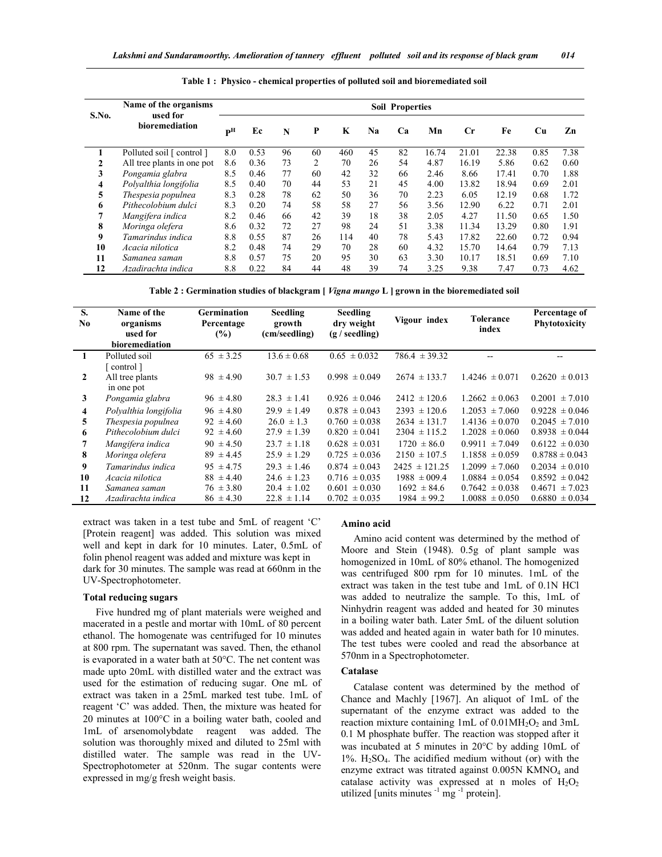| S.No. | Name of the organisms      | <b>Soil Properties</b>    |      |    |    |     |    |    |       |             |       |      |      |
|-------|----------------------------|---------------------------|------|----|----|-----|----|----|-------|-------------|-------|------|------|
|       | used for<br>bioremediation | $\mathbf{P}^{\mathrm{H}}$ | Ec   | N  | P  | K   | Na | Ca | Mn    | $_{\rm Cr}$ | Fe    | Cu   | Zn   |
|       | Polluted soil [ control ]  | 8.0                       | 0.53 | 96 | 60 | 460 | 45 | 82 | 16.74 | 21.01       | 22.38 | 0.85 | 7.38 |
| 2     | All tree plants in one pot | 8.6                       | 0.36 | 73 | 2  | 70  | 26 | 54 | 4.87  | 16.19       | 5.86  | 0.62 | 0.60 |
| 3     | Pongamia glabra            | 8.5                       | 0.46 | 77 | 60 | 42  | 32 | 66 | 2.46  | 8.66        | 17.41 | 0.70 | 1.88 |
| 4     | Polyalthia longifolia      | 8.5                       | 0.40 | 70 | 44 | 53  | 21 | 45 | 4.00  | 13.82       | 18.94 | 0.69 | 2.01 |
| 5     | Thespesia populnea         | 8.3                       | 0.28 | 78 | 62 | 50  | 36 | 70 | 2.23  | 6.05        | 12.19 | 0.68 | 1.72 |
| 6     | Pithecolobium dulci        | 8.3                       | 0.20 | 74 | 58 | 58  | 27 | 56 | 3.56  | 12.90       | 6.22  | 0.71 | 2.01 |
| 7     | Mangifera indica           | 8.2                       | 0.46 | 66 | 42 | 39  | 18 | 38 | 2.05  | 4.27        | 11.50 | 0.65 | 1.50 |
| 8     | Moringa olefera            | 8.6                       | 0.32 | 72 | 27 | 98  | 24 | 51 | 3.38  | 11.34       | 13.29 | 0.80 | 1.91 |
| 9     | Tamarindus indica          | 8.8                       | 0.55 | 87 | 26 | 114 | 40 | 78 | 5.43  | 17.82       | 22.60 | 0.72 | 0.94 |
| 10    | Acacia nilotica            | 8.2                       | 0.48 | 74 | 29 | 70  | 28 | 60 | 4.32  | 15.70       | 14.64 | 0.79 | 7.13 |
| 11    | Samanea saman              | 8.8                       | 0.57 | 75 | 20 | 95  | 30 | 63 | 3.30  | 10.17       | 18.51 | 0.69 | 7.10 |
| 12    | Azadirachta indica         | 8.8                       | 0.22 | 84 | 44 | 48  | 39 | 74 | 3.25  | 9.38        | 7.47  | 0.73 | 4.62 |

**Table 1 : Physico - chemical properties of polluted soil and bioremediated soil**

**Table 2 : Germination studies of blackgram [** *Vigna mungo* **L ] grown in the bioremediated soil**

| S.<br>N <sub>0</sub> | Name of the<br>organisms<br>used for<br>bioremediation | <b>Germination</b><br>Percentage<br>(%) | <b>Seedling</b><br>growth<br>(cm/seedling) | <b>Seedling</b><br>dry weight<br>(g / seedling) | Vigour index      | <b>Tolerance</b><br>index | Percentage of<br>Phytotoxicity |
|----------------------|--------------------------------------------------------|-----------------------------------------|--------------------------------------------|-------------------------------------------------|-------------------|---------------------------|--------------------------------|
| 1                    | Polluted soil                                          | $65 \pm 3.25$                           | $13.6 \pm 0.68$                            | $0.65 \pm 0.032$                                | $786.4 \pm 39.32$ |                           |                                |
| $\mathbf{2}$         | control 1<br>All tree plants<br>in one pot             | $98 \pm 4.90$                           | $30.7 \pm 1.53$                            | $0.998 \pm 0.049$                               | $2674 \pm 133.7$  | $1.4246 \pm 0.071$        | $0.2620 \pm 0.013$             |
| 3                    | Pongamia glabra                                        | $96 \pm 4.80$                           | $28.3 \pm 1.41$                            | $0.926 \pm 0.046$                               | $2412 \pm 120.6$  | $1.2662 \pm 0.063$        | $0.2001 \pm 7.010$             |
| 4                    | Polyalthia longifolia                                  | $96 \pm 4.80$                           | $29.9 \pm 1.49$                            | $0.878 \pm 0.043$                               | $2393 \pm 120.6$  | $1.2053 \pm 7.060$        | $0.9228 \pm 0.046$             |
| 5                    | Thespesia populnea                                     | $92 \pm 4.60$                           | $26.0 \pm 1.3$                             | $0.760 \pm 0.038$                               | $2634 \pm 131.7$  | $1.4136 \pm 0.070$        | $0.2045 \pm 7.010$             |
| 6                    | Pithecolobium dulci                                    | $92 \pm 4.60$                           | $27.9 \pm 1.39$                            | $0.820 \pm 0.041$                               | $2304 \pm 115.2$  | $1.2028 \pm 0.060$        | $0.8938 \pm 0.044$             |
| 7                    | Mangifera indica                                       | $90 \pm 4.50$                           | $23.7 \pm 1.18$                            | $0.628 \pm 0.031$                               | $1720 \pm 86.0$   | $0.9911 \pm 7.049$        | $0.6122 \pm 0.030$             |
| 8                    | Moringa olefera                                        | $89 \pm 4.45$                           | $25.9 \pm 1.29$                            | $0.725 \pm 0.036$                               | $2150 \pm 107.5$  | $1.1858 \pm 0.059$        | $0.8788 \pm 0.043$             |
| 9                    | Tamarindus indica                                      | $95 \pm 4.75$                           | $29.3 \pm 1.46$                            | $0.874 \pm 0.043$                               | $2425 \pm 121.25$ | $1.2099 \pm 7.060$        | $0.2034 \pm 0.010$             |
| 10                   | Acacia nilotica                                        | $88 \pm 4.40$                           | $24.6 \pm 1.23$                            | $0.716 \pm 0.035$                               | $1988 \pm 009.4$  | $1.0884 \pm 0.054$        | $0.8592 \pm 0.042$             |
| 11                   | Samanea saman                                          | $76 \pm 3.80$                           | $20.4 \pm 1.02$                            | $0.601 \pm 0.030$                               | $1692 \pm 84.6$   | $0.7642 \pm 0.038$        | $0.4671 \pm 7.023$             |
| 12                   | Azadirachta indica                                     | $86 \pm 4.30$                           | $22.8 \pm 1.14$                            | $0.702 \pm 0.035$                               | $1984 \pm 99.2$   | $1.0088 \pm 0.050$        | $0.6880 \pm 0.034$             |

extract was taken in a test tube and 5mL of reagent 'C' [Protein reagent] was added. This solution was mixed well and kept in dark for 10 minutes. Later, 0.5mL of folin phenol reagent was added and mixture was kept in dark for 30 minutes. The sample was read at 660nm in the UV-Spectrophotometer.

#### **Total reducing sugars**

 Five hundred mg of plant materials were weighed and macerated in a pestle and mortar with 10mL of 80 percent ethanol. The homogenate was centrifuged for 10 minutes at 800 rpm. The supernatant was saved. Then, the ethanol is evaporated in a water bath at  $50^{\circ}$ C. The net content was made upto 20mL with distilled water and the extract was used for the estimation of reducing sugar. One mL of extract was taken in a 25mL marked test tube. 1mL of reagent 'C' was added. Then, the mixture was heated for 20 minutes at  $100^{\circ}$ C in a boiling water bath, cooled and 1mL of arsenomolybdate reagent was added. The solution was thoroughly mixed and diluted to 25ml with distilled water. The sample was read in the UV-Spectrophotometer at 520nm. The sugar contents were expressed in mg/g fresh weight basis.

#### **Amino acid**

 Amino acid content was determined by the method of Moore and Stein (1948). 0.5g of plant sample was homogenized in 10mL of 80% ethanol. The homogenized was centrifuged 800 rpm for 10 minutes. 1mL of the extract was taken in the test tube and 1mL of 0.1N HCl was added to neutralize the sample. To this, 1mL of Ninhydrin reagent was added and heated for 30 minutes in a boiling water bath. Later 5mL of the diluent solution was added and heated again in water bath for 10 minutes. The test tubes were cooled and read the absorbance at 570nm in a Spectrophotometer.

# **Catalase**

 Catalase content was determined by the method of Chance and Machly [1967]. An aliquot of 1mL of the supernatant of the enzyme extract was added to the reaction mixture containing  $1mL$  of 0.01MH<sub>2</sub>O<sub>2</sub> and  $3mL$ 0.1 M phosphate buffer. The reaction was stopped after it was incubated at 5 minutes in  $20^{\circ}$ C by adding 10mL of  $1\%$ . H<sub>2</sub>SO<sub>4</sub>. The acidified medium without (or) with the enzyme extract was titrated against 0.005N KMNO<sub>4</sub> and catalase activity was expressed at n moles of  $H_2O_2$ utilized [units minutes  $^{-1}$  mg  $^{-1}$  protein].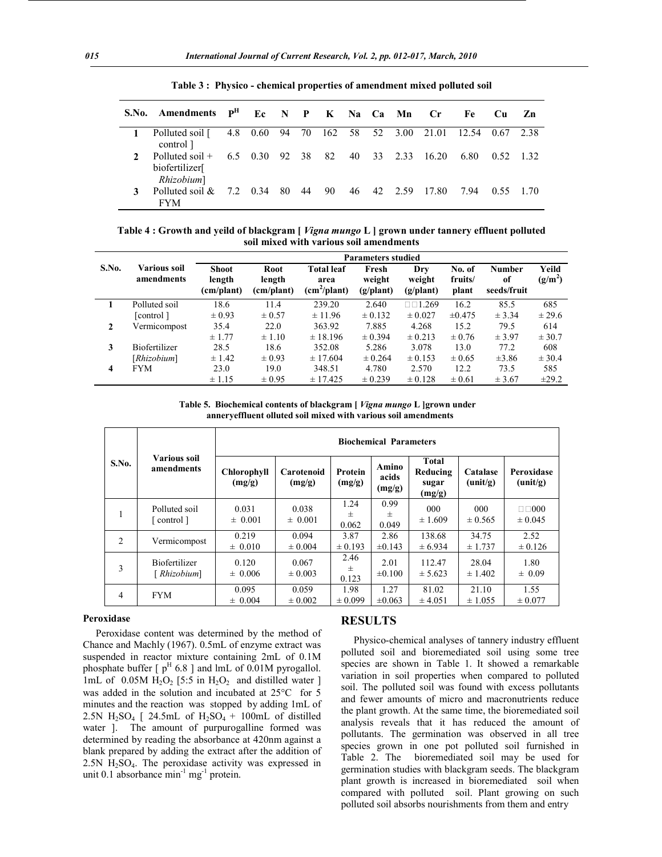|               | S.No. Amendments P <sup>H</sup>                  |    | Ec N P K Na Ca Mn |       |    |  |                      | $C_{\mathbf{r}}$ | Fe    | Cu.       | Zn   |
|---------------|--------------------------------------------------|----|-------------------|-------|----|--|----------------------|------------------|-------|-----------|------|
|               | Polluted soil [<br>control 1                     |    | 4.8 0.60          |       |    |  | 94 70 162 58 52 3.00 | 21.01            | 12.54 | 0.67 2.38 |      |
| $\mathcal{L}$ | Polluted soil $+$<br>biofertilizer<br>Rhizobium] |    | 6.5 0.30          | 92 38 | 82 |  | 40 33 2.33           | 16.20            | 6.80  | 0.52      | -132 |
|               | Polluted soil $\&$<br><b>FYM</b>                 | 72 | 0.34              | 80 44 | 90 |  | 46 42 2.59           | -17.80           | 7.94  | 0.55      | 1 70 |

**Table 3 : Physico - chemical properties of amendment mixed polluted soil**

**Table 4 : Growth and yeild of blackgram [** *Vigna mungo* **L ] grown under tannery effluent polluted soil mixed with various soil amendments**

|       |                            | <b>Parameters studied</b>            |                              |                                              |                              |                                     |                            |                                    |                    |  |  |  |
|-------|----------------------------|--------------------------------------|------------------------------|----------------------------------------------|------------------------------|-------------------------------------|----------------------------|------------------------------------|--------------------|--|--|--|
| S.No. | Various soil<br>amendments | <b>Shoot</b><br>length<br>(cm/plant) | Root<br>length<br>(cm/plant) | <b>Total leaf</b><br>area<br>$(cm^2$ /plant) | Fresh<br>weight<br>(g/plant) | Dry<br>weight<br>$(g/\text{plant})$ | No. of<br>fruits/<br>plant | <b>Number</b><br>of<br>seeds/fruit | Yeild<br>$(g/m^2)$ |  |  |  |
|       | Polluted soil              | 18.6                                 | 11.4                         | 239.20                                       | 2.640                        | $\Box$ math>1.269                   | 16.2                       | 85.5                               | 685                |  |  |  |
|       | [control]                  | $\pm 0.93$                           | $\pm 0.57$                   | $\pm$ 11.96                                  | $\pm 0.132$                  | $\pm 0.027$                         | $\pm 0.475$                | ± 3.34                             | $\pm 29.6$         |  |  |  |
| 2     | Vermicompost               | 35.4                                 | 22.0                         | 363.92                                       | 7.885                        | 4.268                               | 15.2                       | 79.5                               | 614                |  |  |  |
|       |                            | ± 1.77                               | $\pm 1.10$                   | ± 18.196                                     | $\pm 0.394$                  | $\pm 0.213$                         | $\pm 0.76$                 | $\pm$ 3.97                         | $\pm$ 30.7         |  |  |  |
| 3     | <b>Biofertilizer</b>       | 28.5                                 | 18.6                         | 352.08                                       | 5.286                        | 3.078                               | 13.0                       | 77.2                               | 608                |  |  |  |
|       | [Rhizobium]                | $\pm$ 1.42                           | $\pm 0.93$                   | $\pm$ 17.604                                 | $\pm 0.264$                  | $\pm 0.153$                         | $\pm 0.65$                 | $\pm 3.86$                         | $\pm$ 30.4         |  |  |  |
| 4     | <b>FYM</b>                 | 23.0                                 | 19.0                         | 348.51                                       | 4.780                        | 2.570                               | 12.2                       | 73.5                               | 585                |  |  |  |
|       |                            | ± 1.15                               | $\pm 0.95$                   | $\pm$ 17.425                                 | $\pm$ 0.239                  | $\pm$ 0.128                         | $\pm 0.61$                 | $\pm$ 3.67                         | $\pm 29.2$         |  |  |  |

 **Table 5. Biochemical contents of blackgram [** *Vigna mungo* **L ]grown under anneryeffluent olluted soil mixed with various soil amendments**

| S.No.          |                                            | <b>Biochemical Parameters</b> |                      |                     |                          |                                             |                      |                           |  |  |  |  |
|----------------|--------------------------------------------|-------------------------------|----------------------|---------------------|--------------------------|---------------------------------------------|----------------------|---------------------------|--|--|--|--|
|                | Various soil<br>amendments                 | <b>Chlorophyll</b><br>(mg/g)  | Carotenoid<br>(mg/g) | Protein<br>(mg/g)   | Amino<br>acids<br>(mg/g) | <b>Total</b><br>Reducing<br>sugar<br>(mg/g) | Catalase<br>(unit/g) | Peroxidase<br>(unit/g)    |  |  |  |  |
| 1              | Polluted soil<br>$\lceil$ control $\rceil$ | 0.031<br>$\pm 0.001$          | 0.038<br>$\pm 0.001$ | 1.24<br>士<br>0.062  | 0.99<br>$\pm$<br>0.049   | 000<br>± 1.609                              | 000<br>$\pm 0.565$   | $\Box$ 000<br>$\pm 0.045$ |  |  |  |  |
| 2              | Vermicompost                               | 0.219<br>$\pm 0.010$          | 0.094<br>$\pm 0.004$ | 3.87<br>$\pm 0.193$ | 2.86<br>$\pm 0.143$      | 138.68<br>± 6.934                           | 34.75<br>± 1.737     | 2.52<br>$\pm 0.126$       |  |  |  |  |
| 3              | <b>Biofertilizer</b><br>[ Rhizobium]       | 0.120<br>$\pm 0.006$          | 0.067<br>$\pm 0.003$ | 2.46<br>士<br>0.123  | 2.01<br>$\pm 0.100$      | 112.47<br>$\pm$ 5.623                       | 28.04<br>$\pm 1.402$ | 1.80<br>$\pm 0.09$        |  |  |  |  |
| $\overline{4}$ | <b>FYM</b>                                 | 0.095<br>$\pm 0.004$          | 0.059<br>$\pm 0.002$ | 1.98<br>$\pm 0.099$ | 1.27<br>$\pm 0.063$      | 81.02<br>± 4.051                            | 21.10<br>$\pm 1.055$ | 1.55<br>$\pm 0.077$       |  |  |  |  |

## **Peroxidase**

 Peroxidase content was determined by the method of Chance and Machly (1967). 0.5mL of enzyme extract was suspended in reactor mixture containing 2mL of 0.1M phosphate buffer  $\lceil p^H 6.8 \rceil$  and lmL of 0.01M pyrogallol. 1mL of 0.05M  $H_2O_2$  [5:5 in  $H_2O_2$  and distilled water ] was added in the solution and incubated at  $25^{\circ}$ C for 5 minutes and the reaction was stopped by adding 1mL of 2.5N H<sub>2</sub>SO<sub>4</sub> [ 24.5mL of H<sub>2</sub>SO<sub>4</sub> + 100mL of distilled water ]. The amount of purpurogalline formed was determined by reading the absorbance at 420nm against a blank prepared by adding the extract after the addition of 2.5N H2SO4. The peroxidase activity was expressed in unit 0.1 absorbance  $\min^{-1} mg^{-1}$  protein.

## **RESULTS**

 Physico-chemical analyses of tannery industry effluent polluted soil and bioremediated soil using some tree species are shown in Table 1. It showed a remarkable variation in soil properties when compared to polluted soil. The polluted soil was found with excess pollutants and fewer amounts of micro and macronutrients reduce the plant growth. At the same time, the bioremediated soil analysis reveals that it has reduced the amount of pollutants. The germination was observed in all tree species grown in one pot polluted soil furnished in Table 2. The bioremediated soil may be used for germination studies with blackgram seeds. The blackgram plant growth is increased in bioremediated soil when compared with polluted soil. Plant growing on such polluted soil absorbs nourishments from them and entry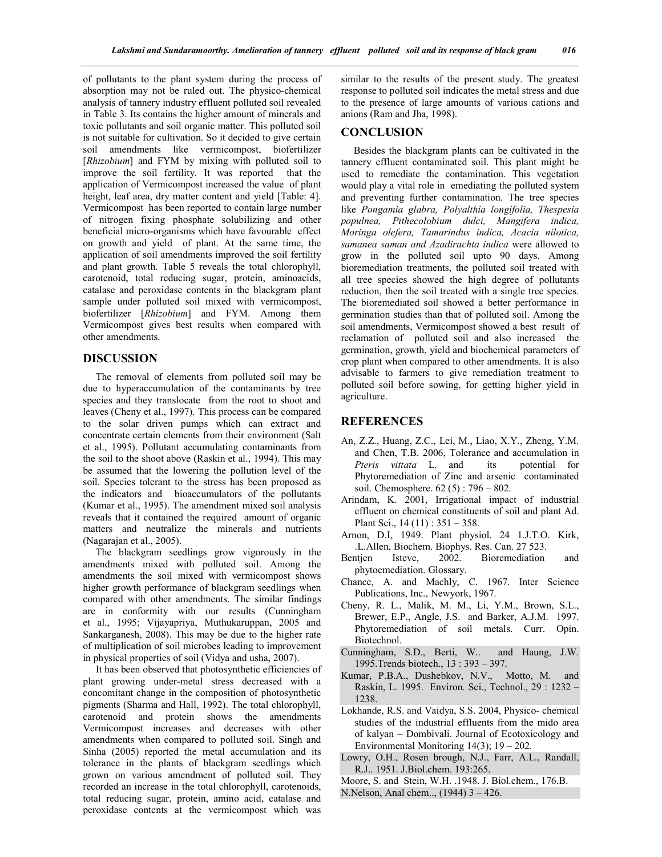of pollutants to the plant system during the process of absorption may not be ruled out. The physico-chemical analysis of tannery industry effluent polluted soil revealed in Table 3. Its contains the higher amount of minerals and toxic pollutants and soil organic matter. This polluted soil is not suitable for cultivation. So it decided to give certain soil amendments like vermicompost, biofertilizer [*Rhizobium*] and FYM by mixing with polluted soil to improve the soil fertility. It was reported that the application of Vermicompost increased the value of plant height, leaf area, dry matter content and yield [Table: 4]. Vermicompost has been reported to contain large number of nitrogen fixing phosphate solubilizing and other beneficial micro-organisms which have favourable effect on growth and yield of plant. At the same time, the application of soil amendments improved the soil fertility and plant growth. Table 5 reveals the total chlorophyll, carotenoid, total reducing sugar, protein, aminoacids, catalase and peroxidase contents in the blackgram plant sample under polluted soil mixed with vermicompost, biofertilizer [*Rhizobium*] and FYM. Among them Vermicompost gives best results when compared with other amendments.

# **DISCUSSION**

 The removal of elements from polluted soil may be due to hyperaccumulation of the contaminants by tree species and they translocate from the root to shoot and leaves (Cheny et al., 1997). This process can be compared to the solar driven pumps which can extract and concentrate certain elements from their environment (Salt et al., 1995). Pollutant accumulating contaminants from the soil to the shoot above (Raskin et al., 1994). This may be assumed that the lowering the pollution level of the soil. Species tolerant to the stress has been proposed as the indicators and bioaccumulators of the pollutants (Kumar et al., 1995). The amendment mixed soil analysis reveals that it contained the required amount of organic matters and neutralize the minerals and nutrients (Nagarajan et al., 2005).

 The blackgram seedlings grow vigorously in the amendments mixed with polluted soil. Among the amendments the soil mixed with vermicompost shows higher growth performance of blackgram seedlings when compared with other amendments. The similar findings are in conformity with our results (Cunningham et al., 1995; Vijayapriya, Muthukaruppan, 2005 and Sankarganesh, 2008). This may be due to the higher rate of multiplication of soil microbes leading to improvement in physical properties of soil (Vidya and usha, 2007).

 It has been observed that photosynthetic efficiencies of plant growing under-metal stress decreased with a concomitant change in the composition of photosynthetic pigments (Sharma and Hall, 1992). The total chlorophyll, carotenoid and protein shows the amendments Vermicompost increases and decreases with other amendments when compared to polluted soil. Singh and Sinha (2005) reported the metal accumulation and its tolerance in the plants of blackgram seedlings which grown on various amendment of polluted soil. They recorded an increase in the total chlorophyll, carotenoids, total reducing sugar, protein, amino acid, catalase and peroxidase contents at the vermicompost which was

similar to the results of the present study. The greatest response to polluted soil indicates the metal stress and due to the presence of large amounts of various cations and anions (Ram and Jha, 1998).

# **CONCLUSION**

 Besides the blackgram plants can be cultivated in the tannery effluent contaminated soil. This plant might be used to remediate the contamination. This vegetation would play a vital role in emediating the polluted system and preventing further contamination. The tree species like *Pongamia glabra, Polyalthia longifolia, Thespesia populnea, Pithecolobium dulci, Mangifera indica, Moringa olefera, Tamarindus indica, Acacia nilotica, samanea saman and Azadirachta indica* were allowed to grow in the polluted soil upto 90 days. Among bioremediation treatments, the polluted soil treated with all tree species showed the high degree of pollutants reduction, then the soil treated with a single tree species. The bioremediated soil showed a better performance in germination studies than that of polluted soil. Among the soil amendments, Vermicompost showed a best result of reclamation of polluted soil and also increased the germination, growth, yield and biochemical parameters of crop plant when compared to other amendments. It is also advisable to farmers to give remediation treatment to polluted soil before sowing, for getting higher yield in agriculture.

# **REFERENCES**

- An, Z.Z., Huang, Z.C., Lei, M., Liao, X.Y., Zheng, Y.M. and Chen, T.B. 2006, Tolerance and accumulation in *Pteris vittata* L. and its potential for Phytoremediation of Zinc and arsenic contaminated soil. Chemosphere. 62 (5) : 796 – 802.
- Arindam, K. 2001, Irrigational impact of industrial effluent on chemical constituents of soil and plant Ad. Plant Sci., 14 (11) : 351 – 358.
- Arnon, D.I, 1949. Plant physiol. 24 1.J.T.O. Kirk, .L.Allen, Biochem. Biophys. Res. Can. 27 523.
- Bentjen Isteve, 2002. Bioremediation and phytoemediation. Glossary.
- Chance, A. and Machly, C. 1967. Inter Science Publications, Inc., Newyork, 1967.
- Cheny, R. L., Malik, M. M., Li, Y.M., Brown, S.L., Brewer, E.P., Angle, J.S. and Barker, A.J.M. 1997. Phytoremediation of soil metals. Curr. Opin. Biotechnol.
- Cunningham, S.D., Berti, W.. and Haung, J.W. 1995.Trends biotech., 13 : 393 – 397.
- Kumar, P.B.A., Dushebkov, N.V., Motto, M. and Raskin, L. 1995. Environ. Sci., Technol., 29 : 1232 – 1238.
- Lokhande, R.S. and Vaidya, S.S. 2004, Physico- chemical studies of the industrial effluents from the mido area of kalyan – Dombivali. Journal of Ecotoxicology and Environmental Monitoring 14(3); 19 – 202.
- Lowry, O.H., Rosen brough, N.J., Farr, A.L., Randall, R.J.. 1951. J.Biol.chem. 193:265.
- Moore, S. and Stein, W.H. .1948. J. Biol.chem., 176.B.
- N.Nelson, Anal chem.., (1944) 3 426.